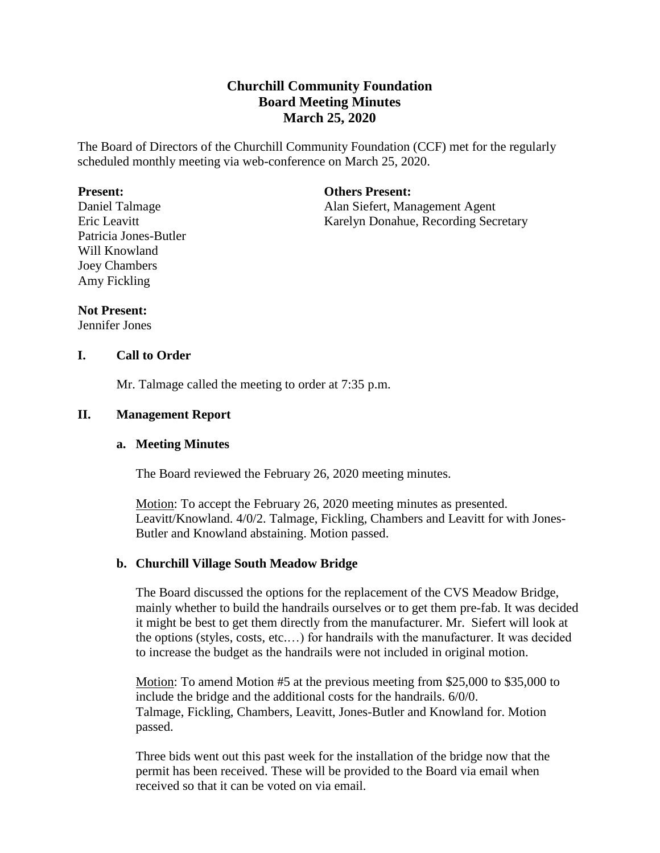# **Churchill Community Foundation Board Meeting Minutes March 25, 2020**

The Board of Directors of the Churchill Community Foundation (CCF) met for the regularly scheduled monthly meeting via web-conference on March 25, 2020.

#### **Present:**

Daniel Talmage Eric Leavitt Patricia Jones-Butler Will Knowland Joey Chambers Amy Fickling

#### **Others Present:**

Alan Siefert, Management Agent Karelyn Donahue, Recording Secretary

#### **Not Present:**

Jennifer Jones

## **I. Call to Order**

Mr. Talmage called the meeting to order at 7:35 p.m.

### **II. Management Report**

#### **a. Meeting Minutes**

The Board reviewed the February 26, 2020 meeting minutes.

Motion: To accept the February 26, 2020 meeting minutes as presented. Leavitt/Knowland. 4/0/2. Talmage, Fickling, Chambers and Leavitt for with Jones-Butler and Knowland abstaining. Motion passed.

### **b. Churchill Village South Meadow Bridge**

The Board discussed the options for the replacement of the CVS Meadow Bridge, mainly whether to build the handrails ourselves or to get them pre-fab. It was decided it might be best to get them directly from the manufacturer. Mr. Siefert will look at the options (styles, costs, etc.…) for handrails with the manufacturer. It was decided to increase the budget as the handrails were not included in original motion.

Motion: To amend Motion #5 at the previous meeting from \$25,000 to \$35,000 to include the bridge and the additional costs for the handrails. 6/0/0. Talmage, Fickling, Chambers, Leavitt, Jones-Butler and Knowland for. Motion passed.

Three bids went out this past week for the installation of the bridge now that the permit has been received. These will be provided to the Board via email when received so that it can be voted on via email.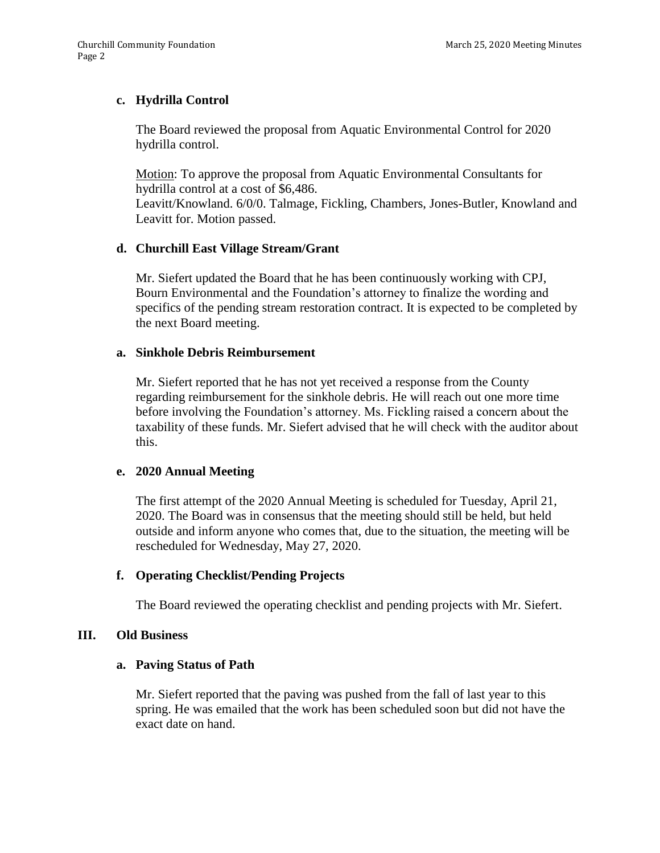# **c. Hydrilla Control**

The Board reviewed the proposal from Aquatic Environmental Control for 2020 hydrilla control.

Motion: To approve the proposal from Aquatic Environmental Consultants for hydrilla control at a cost of \$6,486.

Leavitt/Knowland. 6/0/0. Talmage, Fickling, Chambers, Jones-Butler, Knowland and Leavitt for. Motion passed.

### **d. Churchill East Village Stream/Grant**

Mr. Siefert updated the Board that he has been continuously working with CPJ, Bourn Environmental and the Foundation's attorney to finalize the wording and specifics of the pending stream restoration contract. It is expected to be completed by the next Board meeting.

#### **a. Sinkhole Debris Reimbursement**

Mr. Siefert reported that he has not yet received a response from the County regarding reimbursement for the sinkhole debris. He will reach out one more time before involving the Foundation's attorney. Ms. Fickling raised a concern about the taxability of these funds. Mr. Siefert advised that he will check with the auditor about this.

### **e. 2020 Annual Meeting**

The first attempt of the 2020 Annual Meeting is scheduled for Tuesday, April 21, 2020. The Board was in consensus that the meeting should still be held, but held outside and inform anyone who comes that, due to the situation, the meeting will be rescheduled for Wednesday, May 27, 2020.

### **f. Operating Checklist/Pending Projects**

The Board reviewed the operating checklist and pending projects with Mr. Siefert.

### **III. Old Business**

### **a. Paving Status of Path**

Mr. Siefert reported that the paving was pushed from the fall of last year to this spring. He was emailed that the work has been scheduled soon but did not have the exact date on hand.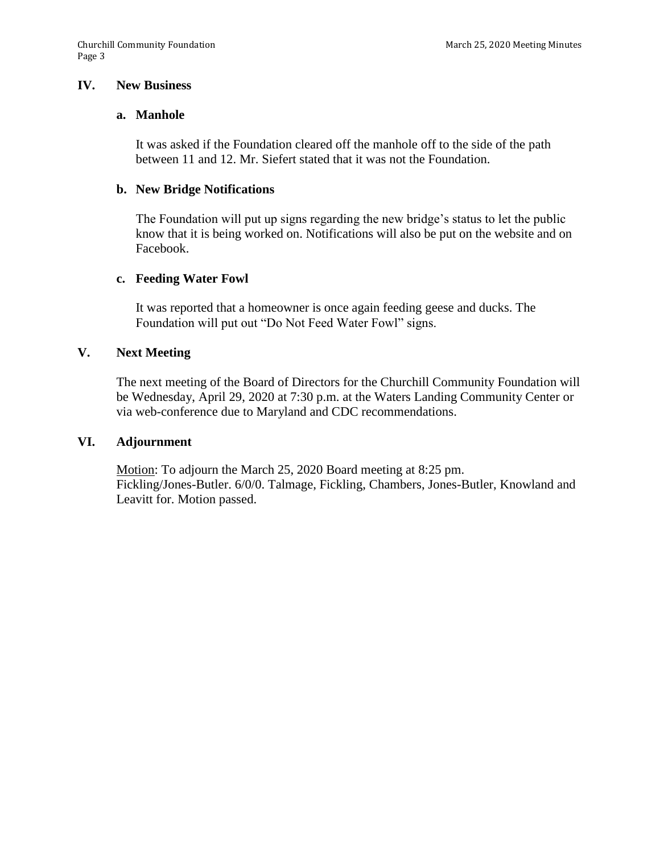#### **IV. New Business**

#### **a. Manhole**

It was asked if the Foundation cleared off the manhole off to the side of the path between 11 and 12. Mr. Siefert stated that it was not the Foundation.

#### **b. New Bridge Notifications**

The Foundation will put up signs regarding the new bridge's status to let the public know that it is being worked on. Notifications will also be put on the website and on Facebook.

#### **c. Feeding Water Fowl**

It was reported that a homeowner is once again feeding geese and ducks. The Foundation will put out "Do Not Feed Water Fowl" signs.

## **V. Next Meeting**

The next meeting of the Board of Directors for the Churchill Community Foundation will be Wednesday, April 29, 2020 at 7:30 p.m. at the Waters Landing Community Center or via web-conference due to Maryland and CDC recommendations.

#### **VI. Adjournment**

Motion: To adjourn the March 25, 2020 Board meeting at 8:25 pm. Fickling/Jones-Butler. 6/0/0. Talmage, Fickling, Chambers, Jones-Butler, Knowland and Leavitt for. Motion passed.